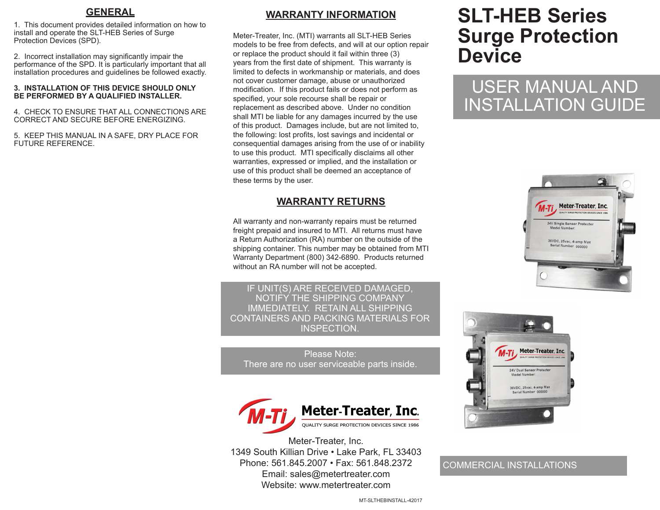#### **GENERAL**

1. This document provides detailed information on how to install and operate the SLT-HEB Series of Surge Protection Devices (SPD).

2. Incorrect installation may significantly impair the performance of the SPD. It is particularly important that all installation procedures and guidelines be followed exactly.

#### **3. INSTALLATION OF THIS DEVICE SHOULD ONLY BE PERFORMED BY A QUALIFIED INSTALLER.**

4. CHECK TO ENSURE THAT ALL CONNECTIONS ARE CORRECT AND SECURE BEFORE ENERGIZING.

5. KEEP THIS MANUAL IN A SAFE, DRY PLACE FOR FUTURE REFERENCE.

## **WARRANTY INFORMATION**

Meter-Treater, Inc. (MTI) warrants all SLT-HEB Series models to be free from defects, and will at our option repair or replace the product should it fail within three (3) years from the first date of shipment. This warranty is limited to defects in workmanship or materials, and does not cover customer damage, abuse or unauthorized modification. If this product fails or does not perform as specified, your sole recourse shall be repair or replacement as described above. Under no condition shall MTI be liable for any damages incurred by the use of this product. Damages include, but are not limited to, the following: lost profits, lost savings and incidental or consequential damages arising from the use of or inability to use this product. MTI specifically disclaims all other warranties, expressed or implied, and the installation or use of this product shall be deemed an acceptance of these terms by the user.

#### **WARRANTY RETURNS**

All warranty and non-warranty repairs must be returned freight prepaid and insured to MTI. All returns must have a Return Authorization (RA) number on the outside of the shipping container. This number may be obtained from MTI Warranty Department (800) 342-6890. Products returned without an RA number will not be accepted.

IF UNIT(S) ARE RECEIVED DAMAGED, NOTIFY THE SHIPPING COMPANY IMMEDIATELY. RETAIN ALL SHIPPING CONTAINERS AND PACKING MATERIALS FOR INSPECTION.

Please Note: There are no user serviceable parts inside.



Meter-Treater, Inc. 1349 South Killian Drive • Lake Park, FL 33403 Phone: 561.845.2007 • Fax: 561.848.2372 Email: sales@metertreater.com Website: www.metertreater.com

# **SLT-HEB Series Surge Protection Device**

# USER MANUAL AND INSTALLATION GUIDE





#### COMMERCIAL INSTALLATIONS